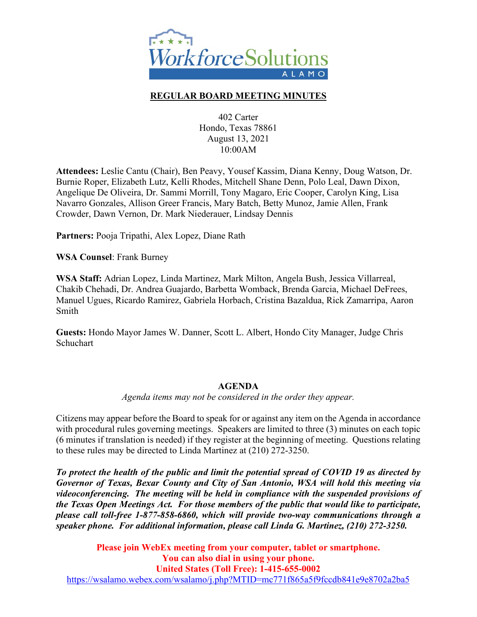

## **REGULAR BOARD MEETING MINUTES**

402 Carter Hondo, Texas 78861 August 13, 2021 10:00AM

**Attendees:** Leslie Cantu (Chair), Ben Peavy, Yousef Kassim, Diana Kenny, Doug Watson, Dr. Burnie Roper, Elizabeth Lutz, Kelli Rhodes, Mitchell Shane Denn, Polo Leal, Dawn Dixon, Angelique De Oliveira, Dr. Sammi Morrill, Tony Magaro, Eric Cooper, Carolyn King, Lisa Navarro Gonzales, Allison Greer Francis, Mary Batch, Betty Munoz, Jamie Allen, Frank Crowder, Dawn Vernon, Dr. Mark Niederauer, Lindsay Dennis

**Partners:** Pooja Tripathi, Alex Lopez, Diane Rath

**WSA Counsel**: Frank Burney

**WSA Staff:** Adrian Lopez, Linda Martinez, Mark Milton, Angela Bush, Jessica Villarreal, Chakib Chehadi, Dr. Andrea Guajardo, Barbetta Womback, Brenda Garcia, Michael DeFrees, Manuel Ugues, Ricardo Ramirez, Gabriela Horbach, Cristina Bazaldua, Rick Zamarripa, Aaron Smith

**Guests:** Hondo Mayor James W. Danner, Scott L. Albert, Hondo City Manager, Judge Chris **Schuchart** 

#### **AGENDA**

*Agenda items may not be considered in the order they appear.*

Citizens may appear before the Board to speak for or against any item on the Agenda in accordance with procedural rules governing meetings. Speakers are limited to three (3) minutes on each topic (6 minutes if translation is needed) if they register at the beginning of meeting. Questions relating to these rules may be directed to Linda Martinez at (210) 272-3250.

*To protect the health of the public and limit the potential spread of COVID 19 as directed by Governor of Texas, Bexar County and City of San Antonio, WSA will hold this meeting via videoconferencing. The meeting will be held in compliance with the suspended provisions of the Texas Open Meetings Act. For those members of the public that would like to participate, please call toll-free 1-877-858-6860, which will provide two-way communications through a speaker phone. For additional information, please call Linda G. Martinez, (210) 272-3250.* 

**Please join WebEx meeting from your computer, tablet or smartphone. You can also dial in using your phone. United States (Toll Free): 1-415-655-0002** <https://wsalamo.webex.com/wsalamo/j.php?MTID=mc771f865a5f9fccdb841e9e8702a2ba5>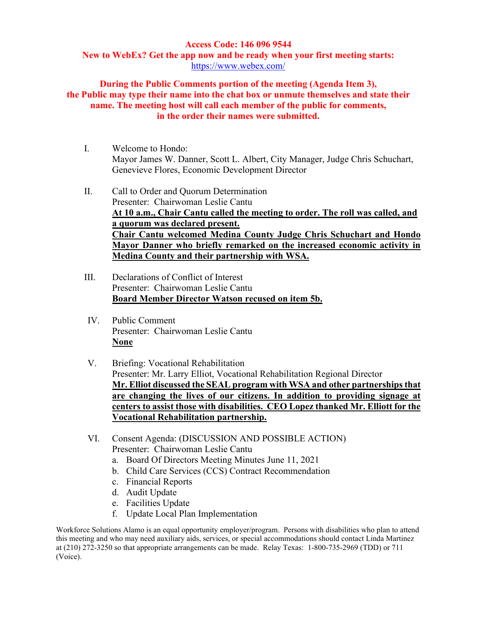#### **Access Code: 146 096 9544**

**New to WebEx? Get the app now and be ready when your first meeting starts:**  <https://www.webex.com/>

**During the Public Comments portion of the meeting (Agenda Item 3), the Public may type their name into the chat box or unmute themselves and state their name. The meeting host will call each member of the public for comments, in the order their names were submitted.**

- I. Welcome to Hondo: Mayor James W. Danner, Scott L. Albert, City Manager, Judge Chris Schuchart, Genevieve Flores, Economic Development Director
- II. Call to Order and Quorum Determination Presenter: Chairwoman Leslie Cantu **At 10 a.m., Chair Cantu called the meeting to order. The roll was called, and a quorum was declared present. Chair Cantu welcomed Medina County Judge Chris Schuchart and Hondo Mayor Danner who briefly remarked on the increased economic activity in Medina County and their partnership with WSA.**
- III. Declarations of Conflict of Interest Presenter: Chairwoman Leslie Cantu **Board Member Director Watson recused on item 5b.**
- IV. Public Comment Presenter: Chairwoman Leslie Cantu **None**
- V. Briefing: Vocational Rehabilitation Presenter: Mr. Larry Elliot, Vocational Rehabilitation Regional Director **Mr. Elliot discussed the SEAL program with WSA and other partnerships that are changing the lives of our citizens. In addition to providing signage at centers to assist those with disabilities. CEO Lopez thanked Mr. Elliott for the Vocational Rehabilitation partnership.**
- VI. Consent Agenda: (DISCUSSION AND POSSIBLE ACTION) Presenter: Chairwoman Leslie Cantu
	- a. Board Of Directors Meeting Minutes June 11, 2021
	- b. Child Care Services (CCS) Contract Recommendation
	- c. Financial Reports
	- d. Audit Update
	- e. Facilities Update
	- f. Update Local Plan Implementation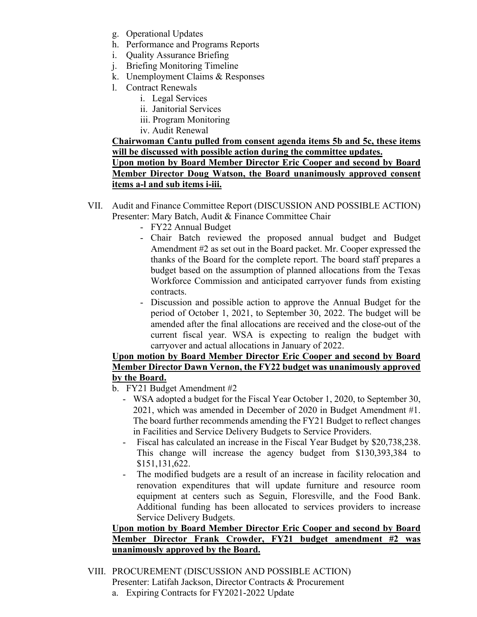- g. Operational Updates
- h. Performance and Programs Reports
- i. Quality Assurance Briefing
- j. Briefing Monitoring Timeline
- k. Unemployment Claims & Responses
- l. Contract Renewals
	- i. Legal Services
	- ii. Janitorial Services
	- iii. Program Monitoring
	- iv. Audit Renewal

**Chairwoman Cantu pulled from consent agenda items 5b and 5c, these items will be discussed with possible action during the committee updates.** 

**Upon motion by Board Member Director Eric Cooper and second by Board Member Director Doug Watson, the Board unanimously approved consent items a-l and sub items i-iii.**

- VII. Audit and Finance Committee Report (DISCUSSION AND POSSIBLE ACTION) Presenter: Mary Batch, Audit & Finance Committee Chair
	- FY22 Annual Budget
	- Chair Batch reviewed the proposed annual budget and Budget Amendment #2 as set out in the Board packet. Mr. Cooper expressed the thanks of the Board for the complete report. The board staff prepares a budget based on the assumption of planned allocations from the Texas Workforce Commission and anticipated carryover funds from existing contracts.
	- Discussion and possible action to approve the Annual Budget for the period of October 1, 2021, to September 30, 2022. The budget will be amended after the final allocations are received and the close-out of the current fiscal year. WSA is expecting to realign the budget with carryover and actual allocations in January of 2022.

# **Upon motion by Board Member Director Eric Cooper and second by Board Member Director Dawn Vernon, the FY22 budget was unanimously approved by the Board.**

- b. FY21 Budget Amendment #2
	- WSA adopted a budget for the Fiscal Year October 1, 2020, to September 30, 2021, which was amended in December of 2020 in Budget Amendment #1. The board further recommends amending the FY21 Budget to reflect changes in Facilities and Service Delivery Budgets to Service Providers.
	- Fiscal has calculated an increase in the Fiscal Year Budget by \$20,738,238. This change will increase the agency budget from \$130,393,384 to \$151,131,622.
	- The modified budgets are a result of an increase in facility relocation and renovation expenditures that will update furniture and resource room equipment at centers such as Seguin, Floresville, and the Food Bank. Additional funding has been allocated to services providers to increase Service Delivery Budgets.

## **Upon motion by Board Member Director Eric Cooper and second by Board Member Director Frank Crowder, FY21 budget amendment #2 was unanimously approved by the Board.**

- VIII. PROCUREMENT (DISCUSSION AND POSSIBLE ACTION) Presenter: Latifah Jackson, Director Contracts & Procurement
	- a. Expiring Contracts for FY2021-2022 Update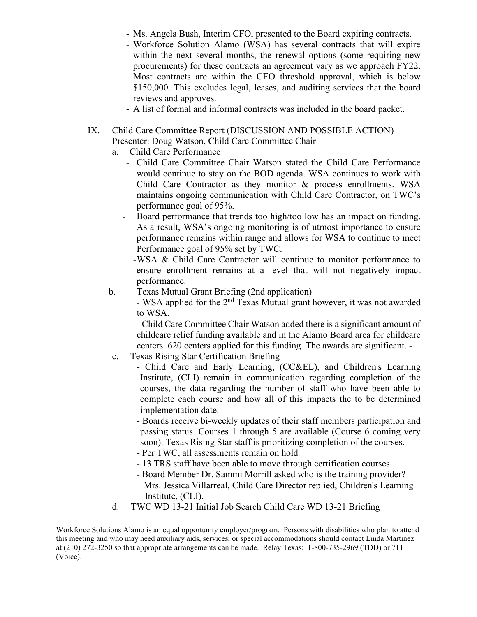- Ms. Angela Bush, Interim CFO, presented to the Board expiring contracts.
- Workforce Solution Alamo (WSA) has several contracts that will expire within the next several months, the renewal options (some requiring new procurements) for these contracts an agreement vary as we approach FY22. Most contracts are within the CEO threshold approval, which is below \$150,000. This excludes legal, leases, and auditing services that the board reviews and approves.
- A list of formal and informal contracts was included in the board packet.
- IX. Child Care Committee Report (DISCUSSION AND POSSIBLE ACTION) Presenter: Doug Watson, Child Care Committee Chair
	- a. Child Care Performance
		- Child Care Committee Chair Watson stated the Child Care Performance would continue to stay on the BOD agenda. WSA continues to work with Child Care Contractor as they monitor & process enrollments. WSA maintains ongoing communication with Child Care Contractor, on TWC's performance goal of 95%.
		- Board performance that trends too high/too low has an impact on funding. As a result, WSA's ongoing monitoring is of utmost importance to ensure performance remains within range and allows for WSA to continue to meet Performance goal of 95% set by TWC.
			- -WSA & Child Care Contractor will continue to monitor performance to ensure enrollment remains at a level that will not negatively impact performance.
	- b. Texas Mutual Grant Briefing (2nd application)

- WSA applied for the 2<sup>nd</sup> Texas Mutual grant however, it was not awarded to WSA.

- Child Care Committee Chair Watson added there is a significant amount of childcare relief funding available and in the Alamo Board area for childcare centers. 620 centers applied for this funding. The awards are significant. -

- c. Texas Rising Star Certification Briefing
	- Child Care and Early Learning, (CC&EL), and Children's Learning Institute, (CLI) remain in communication regarding completion of the courses, the data regarding the number of staff who have been able to complete each course and how all of this impacts the to be determined implementation date.
	- Boards receive bi-weekly updates of their staff members participation and passing status. Courses 1 through 5 are available (Course 6 coming very soon). Texas Rising Star staff is prioritizing completion of the courses.
	- Per TWC, all assessments remain on hold
	- 13 TRS staff have been able to move through certification courses
	- Board Member Dr. Sammi Morrill asked who is the training provider? Mrs. Jessica Villarreal, Child Care Director replied, Children's Learning Institute, (CLI).
- d. TWC WD 13-21 Initial Job Search Child Care WD 13-21 Briefing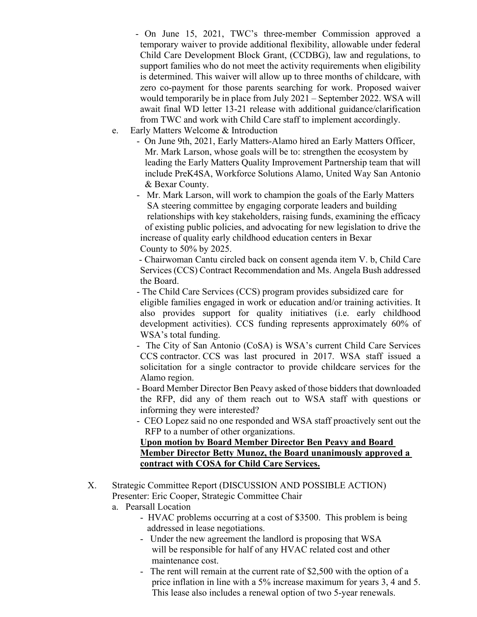- On June 15, 2021, TWC's three-member Commission approved a temporary waiver to provide additional flexibility, allowable under federal Child Care Development Block Grant, (CCDBG), law and regulations, to support families who do not meet the activity requirements when eligibility is determined. This waiver will allow up to three months of childcare, with zero co-payment for those parents searching for work. Proposed waiver would temporarily be in place from July 2021 – September 2022. WSA will await final WD letter 13-21 release with additional guidance/clarification from TWC and work with Child Care staff to implement accordingly.
- e. Early Matters Welcome & Introduction
	- On June 9th, 2021, Early Matters-Alamo hired an Early Matters Officer, Mr. Mark Larson, whose goals will be to: strengthen the ecosystem by leading the Early Matters Quality Improvement Partnership team that will include PreK4SA, Workforce Solutions Alamo, United Way San Antonio & Bexar County.
	- Mr. Mark Larson, will work to champion the goals of the Early Matters SA steering committee by engaging corporate leaders and building relationships with key stakeholders, raising funds, examining the efficacy of existing public policies, and advocating for new legislation to drive the increase of quality early childhood education centers in Bexar County to 50% by 2025.

- Chairwoman Cantu circled back on consent agenda item V. b, Child Care Services (CCS) Contract Recommendation and Ms. Angela Bush addressed the Board.

- The Child Care Services (CCS) program provides subsidized care for eligible families engaged in work or education and/or training activities. It also provides support for quality initiatives (i.e. early childhood development activities). CCS funding represents approximately 60% of WSA's total funding.

- The City of San Antonio (CoSA) is WSA's current Child Care Services CCS contractor. CCS was last procured in 2017. WSA staff issued a solicitation for a single contractor to provide childcare services for the Alamo region.

- Board Member Director Ben Peavy asked of those bidders that downloaded the RFP, did any of them reach out to WSA staff with questions or informing they were interested?

- CEO Lopez said no one responded and WSA staff proactively sent out the RFP to a number of other organizations.

## **Upon motion by Board Member Director Ben Peavy and Board Member Director Betty Munoz, the Board unanimously approved a contract with COSA for Child Care Services.**

- X. Strategic Committee Report (DISCUSSION AND POSSIBLE ACTION) Presenter: Eric Cooper, Strategic Committee Chair
	- a. Pearsall Location
		- HVAC problems occurring at a cost of \$3500. This problem is being addressed in lease negotiations.
		- Under the new agreement the landlord is proposing that WSA will be responsible for half of any HVAC related cost and other maintenance cost.
		- The rent will remain at the current rate of \$2,500 with the option of a price inflation in line with a 5% increase maximum for years 3, 4 and 5. This lease also includes a renewal option of two 5-year renewals.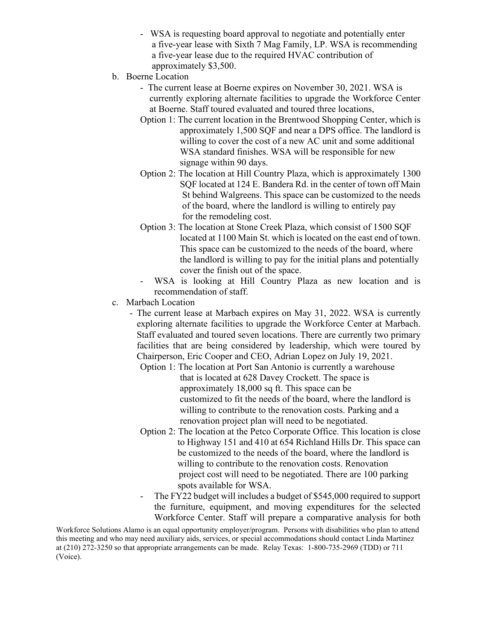- WSA is requesting board approval to negotiate and potentially enter a five-year lease with Sixth 7 Mag Family, LP. WSA is recommending a five-year lease due to the required HVAC contribution of approximately \$3,500.
- b. Boerne Location
	- The current lease at Boerne expires on November 30, 2021. WSA is currently exploring alternate facilities to upgrade the Workforce Center at Boerne. Staff toured evaluated and toured three locations,
	- Option 1: The current location in the Brentwood Shopping Center, which is approximately 1,500 SQF and near a DPS office. The landlord is willing to cover the cost of a new AC unit and some additional WSA standard finishes. WSA will be responsible for new signage within 90 days.
	- Option 2: The location at Hill Country Plaza, which is approximately 1300 SQF located at 124 E. Bandera Rd. in the center of town off Main St behind Walgreens. This space can be customized to the needs of the board, where the landlord is willing to entirely pay for the remodeling cost.
	- Option 3: The location at Stone Creek Plaza, which consist of 1500 SQF located at 1100 Main St. which is located on the east end of town. This space can be customized to the needs of the board, where the landlord is willing to pay for the initial plans and potentially cover the finish out of the space.
	- WSA is looking at Hill Country Plaza as new location and is recommendation of staff.
- c. Marbach Location
	- The current lease at Marbach expires on May 31, 2022. WSA is currently exploring alternate facilities to upgrade the Workforce Center at Marbach. Staff evaluated and toured seven locations. There are currently two primary facilities that are being considered by leadership, which were toured by Chairperson, Eric Cooper and CEO, Adrian Lopez on July 19, 2021.
		- Option 1: The location at Port San Antonio is currently a warehouse that is located at 628 Davey Crockett. The space is approximately 18,000 sq ft. This space can be customized to fit the needs of the board, where the landlord is willing to contribute to the renovation costs. Parking and a renovation project plan will need to be negotiated.
		- Option 2: The location at the Petco Corporate Office. This location is close to Highway 151 and 410 at 654 Richland Hills Dr. This space can be customized to the needs of the board, where the landlord is willing to contribute to the renovation costs. Renovation project cost will need to be negotiated. There are 100 parking spots available for WSA.
		- The FY22 budget will includes a budget of \$545,000 required to support the furniture, equipment, and moving expenditures for the selected Workforce Center. Staff will prepare a comparative analysis for both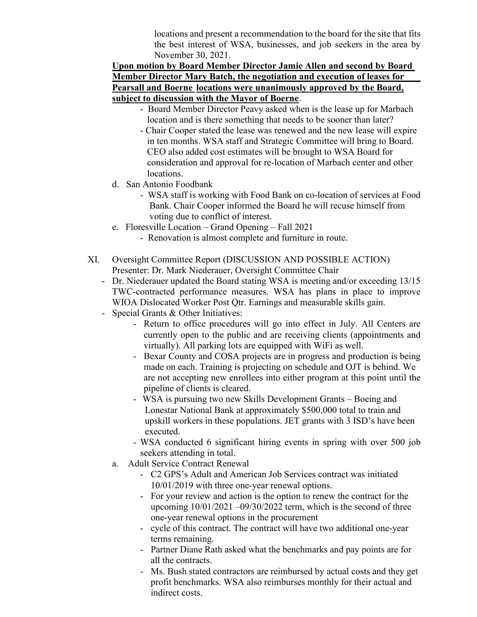locations and present a recommendation to the board for the site that fits the best interest of WSA, businesses, and job seekers in the area by November 30, 2021.

## **Upon motion by Board Member Director Jamie Allen and second by Board Member Director Mary Batch, the negotiation and execution of leases for Pearsall and Boerne locations were unanimously approved by the Board, subject to discussion with the Mayor of Boerne**.

- Board Member Director Peavy asked when is the lease up for Marbach location and is there something that needs to be sooner than later?
- Chair Cooper stated the lease was renewed and the new lease will expire in ten months. WSA staff and Strategic Committee will bring to Board. CEO also added cost estimates will be brought to WSA Board for consideration and approval for re-location of Marbach center and other locations.
- d. San Antonio Foodbank
	- WSA staff is working with Food Bank on co-location of services at Food Bank. Chair Cooper informed the Board he will recuse himself from voting due to conflict of interest.
- e. Floresville Location Grand Opening Fall 2021
	- Renovation is almost complete and furniture in route.
- XI. Oversight Committee Report (DISCUSSION AND POSSIBLE ACTION) Presenter: Dr. Mark Niederauer, Oversight Committee Chair
	- Dr. Niederauer updated the Board stating WSA is meeting and/or exceeding 13/15 TWC-contracted performance measures. WSA has plans in place to improve WIOA Dislocated Worker Post Qtr. Earnings and measurable skills gain.
	- Special Grants & Other Initiatives:
		- Return to office procedures will go into effect in July. All Centers are currently open to the public and are receiving clients (appointments and virtually). All parking lots are equipped with WiFi as well.
		- Bexar County and COSA projects are in progress and production is being made on each. Training is projecting on schedule and OJT is behind. We are not accepting new enrollees into either program at this point until the pipeline of clients is cleared.
		- WSA is pursuing two new Skills Development Grants Boeing and Lonestar National Bank at approximately \$500,000 total to train and upskill workers in these populations. JET grants with 3 ISD's have been executed.
		- WSA conducted 6 significant hiring events in spring with over 500 job seekers attending in total.
		- a. Adult Service Contract Renewal
			- C2 GPS's Adult and American Job Services contract was initiated 10/01/2019 with three one-year renewal options.
			- For your review and action is the option to renew the contract for the upcoming  $10/01/2021 - 09/30/2022$  term, which is the second of three one-year renewal options in the procurement
			- cycle of this contract. The contract will have two additional one-year terms remaining.
			- Partner Diane Rath asked what the benchmarks and pay points are for all the contracts.
			- Ms. Bush stated contractors are reimbursed by actual costs and they get profit benchmarks. WSA also reimburses monthly for their actual and indirect costs.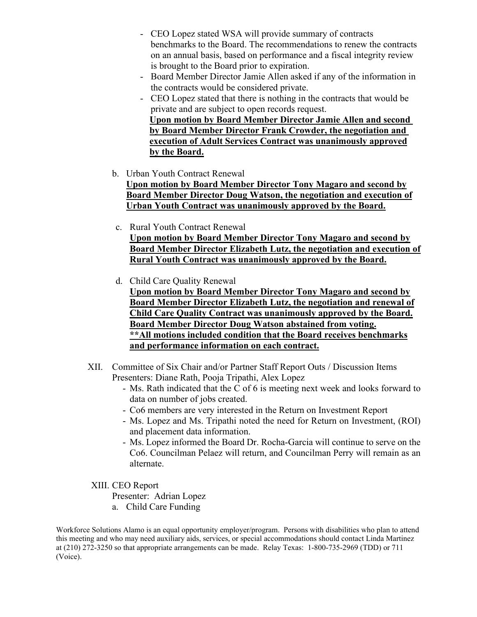- CEO Lopez stated WSA will provide summary of contracts benchmarks to the Board. The recommendations to renew the contracts on an annual basis, based on performance and a fiscal integrity review is brought to the Board prior to expiration.
- Board Member Director Jamie Allen asked if any of the information in the contracts would be considered private.
- CEO Lopez stated that there is nothing in the contracts that would be private and are subject to open records request.

 **Upon motion by Board Member Director Jamie Allen and second by Board Member Director Frank Crowder, the negotiation and execution of Adult Services Contract was unanimously approved by the Board.**

b. Urban Youth Contract Renewal

**Upon motion by Board Member Director Tony Magaro and second by Board Member Director Doug Watson, the negotiation and execution of Urban Youth Contract was unanimously approved by the Board.**

- c. Rural Youth Contract Renewal **Upon motion by Board Member Director Tony Magaro and second by Board Member Director Elizabeth Lutz, the negotiation and execution of Rural Youth Contract was unanimously approved by the Board.**
- d. Child Care Quality Renewal

**Upon motion by Board Member Director Tony Magaro and second by Board Member Director Elizabeth Lutz, the negotiation and renewal of Child Care Quality Contract was unanimously approved by the Board. Board Member Director Doug Watson abstained from voting. \*\*All motions included condition that the Board receives benchmarks and performance information on each contract.**

- XII. Committee of Six Chair and/or Partner Staff Report Outs / Discussion Items Presenters: Diane Rath, Pooja Tripathi, Alex Lopez
	- Ms. Rath indicated that the C of 6 is meeting next week and looks forward to data on number of jobs created.
	- Co6 members are very interested in the Return on Investment Report
	- Ms. Lopez and Ms. Tripathi noted the need for Return on Investment, (ROI) and placement data information.
	- Ms. Lopez informed the Board Dr. Rocha-Garcia will continue to serve on the Co6. Councilman Pelaez will return, and Councilman Perry will remain as an alternate.
- XIII. CEO Report

Presenter: Adrian Lopez

a. Child Care Funding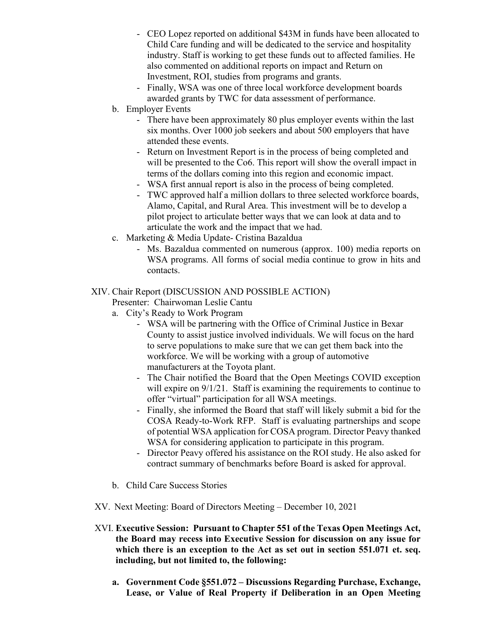- CEO Lopez reported on additional \$43M in funds have been allocated to Child Care funding and will be dedicated to the service and hospitality industry. Staff is working to get these funds out to affected families. He also commented on additional reports on impact and Return on Investment, ROI, studies from programs and grants.
- Finally, WSA was one of three local workforce development boards awarded grants by TWC for data assessment of performance.
- b. Employer Events
	- There have been approximately 80 plus employer events within the last six months. Over 1000 job seekers and about 500 employers that have attended these events.
	- Return on Investment Report is in the process of being completed and will be presented to the Co6. This report will show the overall impact in terms of the dollars coming into this region and economic impact.
	- WSA first annual report is also in the process of being completed.
	- TWC approved half a million dollars to three selected workforce boards, Alamo, Capital, and Rural Area. This investment will be to develop a pilot project to articulate better ways that we can look at data and to articulate the work and the impact that we had.
- c. Marketing & Media Update- Cristina Bazaldua
	- Ms. Bazaldua commented on numerous (approx. 100) media reports on WSA programs. All forms of social media continue to grow in hits and contacts.

#### XIV. Chair Report (DISCUSSION AND POSSIBLE ACTION)

Presenter: Chairwoman Leslie Cantu

- a. City's Ready to Work Program
	- WSA will be partnering with the Office of Criminal Justice in Bexar County to assist justice involved individuals. We will focus on the hard to serve populations to make sure that we can get them back into the workforce. We will be working with a group of automotive manufacturers at the Toyota plant.
	- The Chair notified the Board that the Open Meetings COVID exception will expire on  $9/1/21$ . Staff is examining the requirements to continue to offer "virtual" participation for all WSA meetings.
	- Finally, she informed the Board that staff will likely submit a bid for the COSA Ready-to-Work RFP. Staff is evaluating partnerships and scope of potential WSA application for COSA program. Director Peavy thanked WSA for considering application to participate in this program.
	- Director Peavy offered his assistance on the ROI study. He also asked for contract summary of benchmarks before Board is asked for approval.
- b. Child Care Success Stories
- XV. Next Meeting: Board of Directors Meeting December 10, 2021
- XVI. **Executive Session: Pursuant to Chapter 551 of the Texas Open Meetings Act, the Board may recess into Executive Session for discussion on any issue for which there is an exception to the Act as set out in section 551.071 et. seq. including, but not limited to, the following:** 
	- **a. Government Code §551.072 – Discussions Regarding Purchase, Exchange, Lease, or Value of Real Property if Deliberation in an Open Meeting**